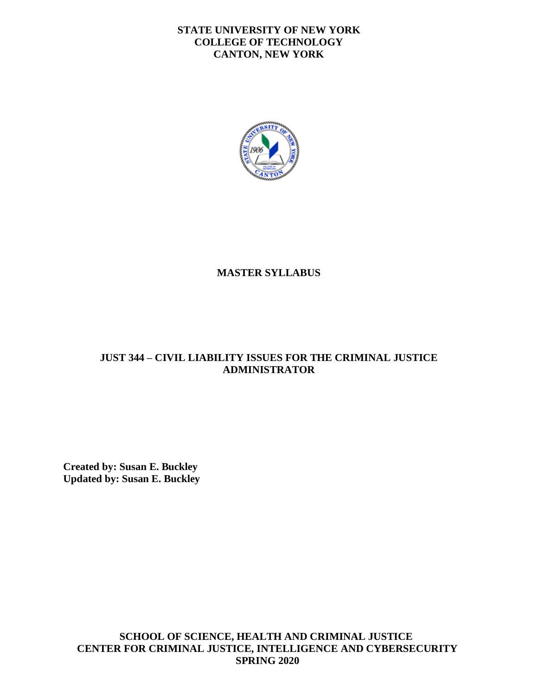#### **STATE UNIVERSITY OF NEW YORK COLLEGE OF TECHNOLOGY CANTON, NEW YORK**



## **MASTER SYLLABUS**

### **JUST 344 – CIVIL LIABILITY ISSUES FOR THE CRIMINAL JUSTICE ADMINISTRATOR**

**Created by: Susan E. Buckley Updated by: Susan E. Buckley** 

**SCHOOL OF SCIENCE, HEALTH AND CRIMINAL JUSTICE CENTER FOR CRIMINAL JUSTICE, INTELLIGENCE AND CYBERSECURITY SPRING 2020**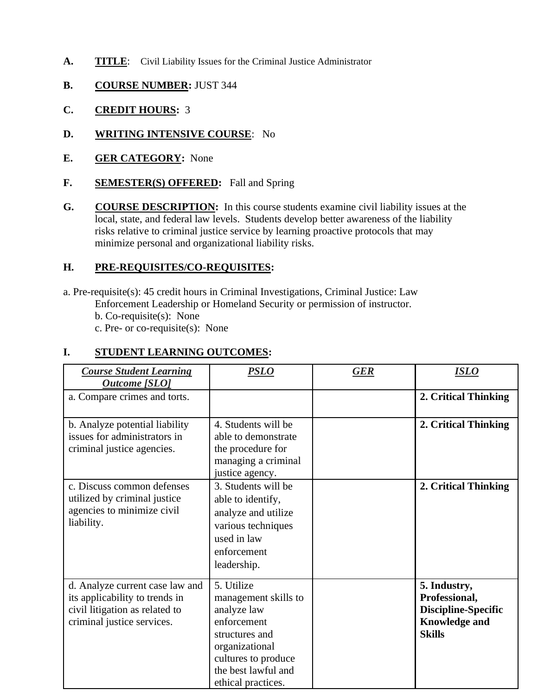- A. TITLE: Civil Liability Issues for the Criminal Justice Administrator
- **B. COURSE NUMBER:** JUST 344
- **C. CREDIT HOURS:** 3
- **D. WRITING INTENSIVE COURSE**: No
- **E. GER CATEGORY:** None
- F. **SEMESTER(S) OFFERED:** Fall and Spring
- **G.** COURSE DESCRIPTION: In this course students examine civil liability issues at the local, state, and federal law levels. Students develop better awareness of the liability risks relative to criminal justice service by learning proactive protocols that may minimize personal and organizational liability risks.

### **H. PRE-REQUISITES/CO-REQUISITES:**

 b. Co-requisite(s): None a. Pre-requisite(s): 45 credit hours in Criminal Investigations, Criminal Justice: Law Enforcement Leadership or Homeland Security or permission of instructor.

c. Pre- or co-requisite(s): None

#### **I. STUDENT LEARNING OUTCOMES:**

| <b>Course Student Learning</b><br><b>Outcome</b> [SLO]                                                                            | <u>PSLO</u>                                                                                                                                                              | <b>GER</b> | <b>ISLO</b>                                                                                          |
|-----------------------------------------------------------------------------------------------------------------------------------|--------------------------------------------------------------------------------------------------------------------------------------------------------------------------|------------|------------------------------------------------------------------------------------------------------|
| a. Compare crimes and torts.                                                                                                      |                                                                                                                                                                          |            | 2. Critical Thinking                                                                                 |
| b. Analyze potential liability<br>issues for administrators in<br>criminal justice agencies.                                      | 4. Students will be<br>able to demonstrate<br>the procedure for<br>managing a criminal<br>justice agency.                                                                |            | 2. Critical Thinking                                                                                 |
| c. Discuss common defenses<br>utilized by criminal justice<br>agencies to minimize civil<br>liability.                            | 3. Students will be<br>able to identify,<br>analyze and utilize<br>various techniques<br>used in law<br>enforcement<br>leadership.                                       |            | 2. Critical Thinking                                                                                 |
| d. Analyze current case law and<br>its applicability to trends in<br>civil litigation as related to<br>criminal justice services. | 5. Utilize<br>management skills to<br>analyze law<br>enforcement<br>structures and<br>organizational<br>cultures to produce<br>the best lawful and<br>ethical practices. |            | 5. Industry,<br>Professional,<br><b>Discipline-Specific</b><br><b>Knowledge and</b><br><b>Skills</b> |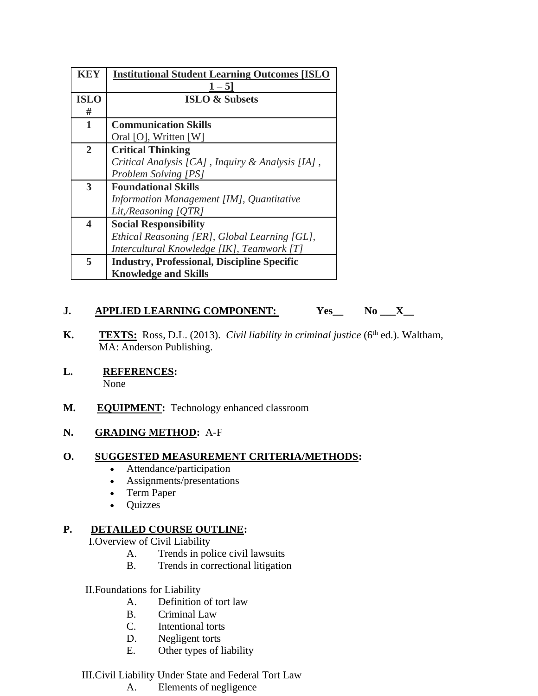| <b>KEY</b>              | <b>Institutional Student Learning Outcomes [ISLO</b> |
|-------------------------|------------------------------------------------------|
|                         | $1 - 5$                                              |
| <b>ISLO</b>             | <b>ISLO &amp; Subsets</b>                            |
| #                       |                                                      |
| 1                       | <b>Communication Skills</b>                          |
|                         | Oral [O], Written [W]                                |
| $\overline{2}$          | <b>Critical Thinking</b>                             |
|                         | Critical Analysis [CA], Inquiry & Analysis [IA],     |
|                         | <b>Problem Solving [PS]</b>                          |
| 3                       | <b>Foundational Skills</b>                           |
|                         | Information Management [IM], Quantitative            |
|                         | Lit,/Reasoning [QTR]                                 |
| $\overline{\mathbf{4}}$ | <b>Social Responsibility</b>                         |
|                         | Ethical Reasoning [ER], Global Learning [GL],        |
|                         | Intercultural Knowledge [IK], Teamwork [T]           |
| 5                       | <b>Industry, Professional, Discipline Specific</b>   |
|                         | <b>Knowledge and Skills</b>                          |

# **J.** APPLIED LEARNING COMPONENT: Yes\_ No \_\_X\_

- **K.** TEXTS: Ross, D.L. (2013). *Civil liability in criminal justice* (6<sup>th</sup> ed.). Waltham, MA: Anderson Publishing.
- **L. REFERENCES:** None
- **M. EQUIPMENT:** Technology enhanced classroom

### **N. GRADING METHOD:** A-F

### **O. SUGGESTED MEASUREMENT CRITERIA/METHODS:**

- Attendance/participation
- Assignments/presentations
- Term Paper
- Quizzes

## **P. DETAILED COURSE OUTLINE:**

I.Overview of Civil Liability

- A. Trends in police civil lawsuits
- B. Trends in correctional litigation

II.Foundations for Liability

- A. Definition of tort law
- B. Criminal Law
- C. Intentional torts
- D. Negligent torts
- E. Other types of liability

### III.Civil Liability Under State and Federal Tort Law

A. Elements of negligence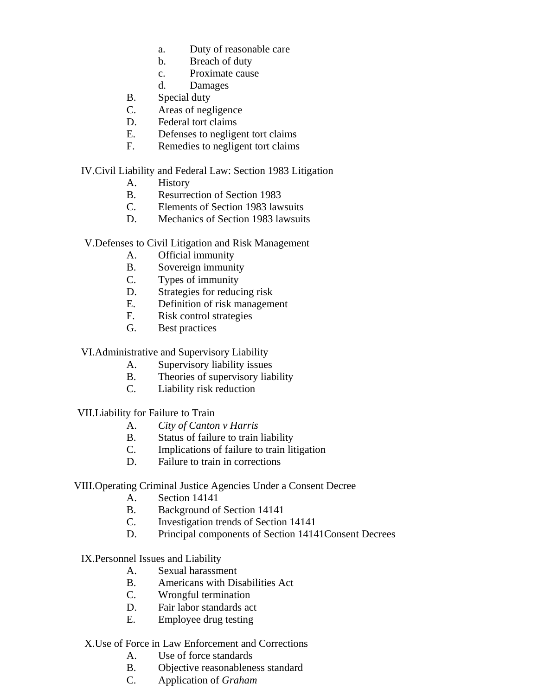- a. Duty of reasonable care
- b. Breach of duty
- c. Proximate cause
- d. Damages
- B. Special duty
- C. Areas of negligence
- D. Federal tort claims
- E. Defenses to negligent tort claims
- F. Remedies to negligent tort claims

IV.Civil Liability and Federal Law: Section 1983 Litigation

- A. History
- B. Resurrection of Section 1983
- C. Elements of Section 1983 lawsuits
- D. Mechanics of Section 1983 lawsuits

V.Defenses to Civil Litigation and Risk Management

- A. Official immunity
- B. Sovereign immunity
- C. Types of immunity
- D. Strategies for reducing risk
- E. Definition of risk management
- F. Risk control strategies
- G. Best practices

VI.Administrative and Supervisory Liability

- A. Supervisory liability issues
- B. Theories of supervisory liability
- C. Liability risk reduction

VII.Liability for Failure to Train

- A. *City of Canton v Harris*
- B. Status of failure to train liability
- C. Implications of failure to train litigation
- D. Failure to train in corrections

#### VIII.Operating Criminal Justice Agencies Under a Consent Decree

- A. Section 14141
- B. Background of Section 14141
- C. Investigation trends of Section 14141
- D. Principal components of Section 14141Consent Decrees

### IX.Personnel Issues and Liability

- A. Sexual harassment
- B. Americans with Disabilities Act
- C. Wrongful termination
- D. Fair labor standards act
- E. Employee drug testing

#### X.Use of Force in Law Enforcement and Corrections

- A. Use of force standards
- B. Objective reasonableness standard
- C. Application of *Graham*